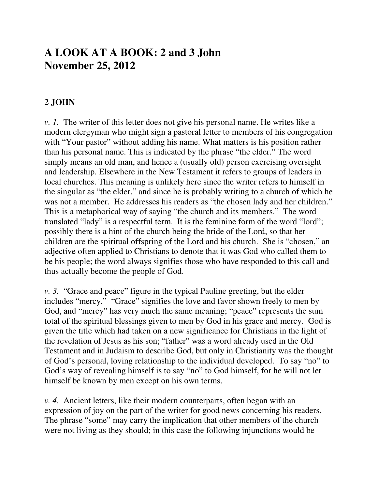# **A LOOK AT A BOOK: 2 and 3 John November 25, 2012**

## **2 JOHN**

*v. 1.* The writer of this letter does not give his personal name. He writes like a modern clergyman who might sign a pastoral letter to members of his congregation with "Your pastor" without adding his name. What matters is his position rather than his personal name. This is indicated by the phrase "the elder." The word simply means an old man, and hence a (usually old) person exercising oversight and leadership. Elsewhere in the New Testament it refers to groups of leaders in local churches. This meaning is unlikely here since the writer refers to himself in the singular as "the elder," and since he is probably writing to a church of which he was not a member. He addresses his readers as "the chosen lady and her children." This is a metaphorical way of saying "the church and its members." The word translated "lady" is a respectful term. It is the feminine form of the word "lord"; possibly there is a hint of the church being the bride of the Lord, so that her children are the spiritual offspring of the Lord and his church. She is "chosen," an adjective often applied to Christians to denote that it was God who called them to be his people; the word always signifies those who have responded to this call and thus actually become the people of God.

*v. 3.* "Grace and peace" figure in the typical Pauline greeting, but the elder includes "mercy." "Grace" signifies the love and favor shown freely to men by God, and "mercy" has very much the same meaning; "peace" represents the sum total of the spiritual blessings given to men by God in his grace and mercy. God is given the title which had taken on a new significance for Christians in the light of the revelation of Jesus as his son; "father" was a word already used in the Old Testament and in Judaism to describe God, but only in Christianity was the thought of God's personal, loving relationship to the individual developed. To say "no" to God's way of revealing himself is to say "no" to God himself, for he will not let himself be known by men except on his own terms.

*v. 4.* Ancient letters, like their modern counterparts, often began with an expression of joy on the part of the writer for good news concerning his readers. The phrase "some" may carry the implication that other members of the church were not living as they should; in this case the following injunctions would be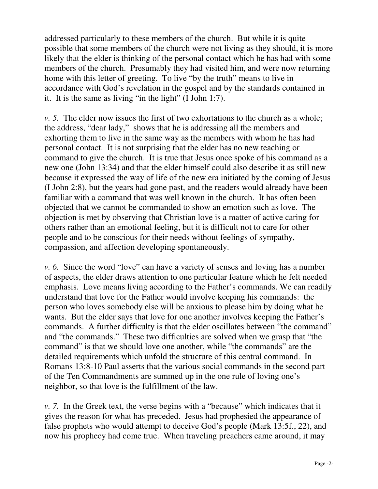addressed particularly to these members of the church. But while it is quite possible that some members of the church were not living as they should, it is more likely that the elder is thinking of the personal contact which he has had with some members of the church. Presumably they had visited him, and were now returning home with this letter of greeting. To live "by the truth" means to live in accordance with God's revelation in the gospel and by the standards contained in it. It is the same as living "in the light" (I John 1:7).

*v. 5.* The elder now issues the first of two exhortations to the church as a whole; the address, "dear lady," shows that he is addressing all the members and exhorting them to live in the same way as the members with whom he has had personal contact. It is not surprising that the elder has no new teaching or command to give the church. It is true that Jesus once spoke of his command as a new one (John 13:34) and that the elder himself could also describe it as still new because it expressed the way of life of the new era initiated by the coming of Jesus (I John 2:8), but the years had gone past, and the readers would already have been familiar with a command that was well known in the church. It has often been objected that we cannot be commanded to show an emotion such as love. The objection is met by observing that Christian love is a matter of active caring for others rather than an emotional feeling, but it is difficult not to care for other people and to be conscious for their needs without feelings of sympathy, compassion, and affection developing spontaneously.

*v. 6.* Since the word "love" can have a variety of senses and loving has a number of aspects, the elder draws attention to one particular feature which he felt needed emphasis. Love means living according to the Father's commands. We can readily understand that love for the Father would involve keeping his commands: the person who loves somebody else will be anxious to please him by doing what he wants. But the elder says that love for one another involves keeping the Father's commands. A further difficulty is that the elder oscillates between "the command" and "the commands." These two difficulties are solved when we grasp that "the command" is that we should love one another, while "the commands" are the detailed requirements which unfold the structure of this central command. In Romans 13:8-10 Paul asserts that the various social commands in the second part of the Ten Commandments are summed up in the one rule of loving one's neighbor, so that love is the fulfillment of the law.

*v. 7.* In the Greek text, the verse begins with a "because" which indicates that it gives the reason for what has preceded. Jesus had prophesied the appearance of false prophets who would attempt to deceive God's people (Mark 13:5f., 22), and now his prophecy had come true. When traveling preachers came around, it may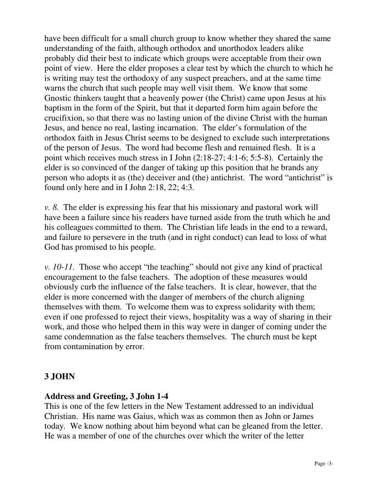have been difficult for a small church group to know whether they shared the same understanding of the faith, although orthodox and unorthodox leaders alike probably did their best to indicate which groups were acceptable from their own point of view. Here the elder proposes a clear test by which the church to which he is writing may test the orthodoxy of any suspect preachers, and at the same time warns the church that such people may well visit them. We know that some Gnostic thinkers taught that a heavenly power (the Christ) came upon Jesus at his baptism in the form of the Spirit, but that it departed form him again before the crucifixion, so that there was no lasting union of the divine Christ with the human Jesus, and hence no real, lasting incarnation. The elder's formulation of the orthodox faith in Jesus Christ seems to be designed to exclude such interpretations of the person of Jesus. The word had become flesh and remained flesh. It is a point which receives much stress in I John (2:18-27; 4:1-6; 5:5-8). Certainly the elder is so convinced of the danger of taking up this position that he brands any person who adopts it as (the) deceiver and (the) antichrist. The word "antichrist" is found only here and in I John 2:18, 22; 4:3.

*v. 8.* The elder is expressing his fear that his missionary and pastoral work will have been a failure since his readers have turned aside from the truth which he and his colleagues committed to them. The Christian life leads in the end to a reward, and failure to persevere in the truth (and in right conduct) can lead to loss of what God has promised to his people.

*v. 10-11.* Those who accept "the teaching" should not give any kind of practical encouragement to the false teachers. The adoption of these measures would obviously curb the influence of the false teachers. It is clear, however, that the elder is more concerned with the danger of members of the church aligning themselves with them. To welcome them was to express solidarity with them; even if one professed to reject their views, hospitality was a way of sharing in their work, and those who helped them in this way were in danger of coming under the same condemnation as the false teachers themselves. The church must be kept from contamination by error.

#### **3 JOHN**

#### **Address and Greeting, 3 John 1-4**

This is one of the few letters in the New Testament addressed to an individual Christian. His name was Gaius, which was as common then as John or James today. We know nothing about him beyond what can be gleaned from the letter. He was a member of one of the churches over which the writer of the letter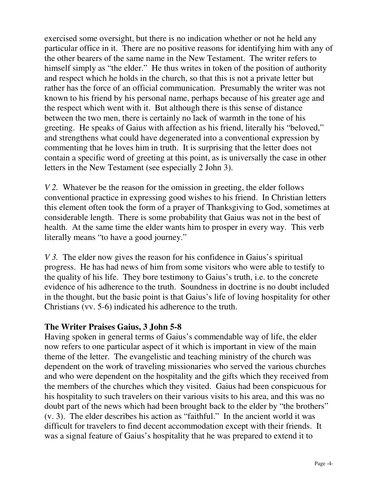exercised some oversight, but there is no indication whether or not he held any particular office in it. There are no positive reasons for identifying him with any of the other bearers of the same name in the New Testament. The writer refers to himself simply as "the elder." He thus writes in token of the position of authority and respect which he holds in the church, so that this is not a private letter but rather has the force of an official communication. Presumably the writer was not known to his friend by his personal name, perhaps because of his greater age and the respect which went with it. But although there is this sense of distance between the two men, there is certainly no lack of warmth in the tone of his greeting. He speaks of Gaius with affection as his friend, literally his "beloved," and strengthens what could have degenerated into a conventional expression by commenting that he loves him in truth. It is surprising that the letter does not contain a specific word of greeting at this point, as is universally the case in other letters in the New Testament (see especially 2 John 3).

*V 2.* Whatever be the reason for the omission in greeting, the elder follows conventional practice in expressing good wishes to his friend. In Christian letters this element often took the form of a prayer of Thanksgiving to God, sometimes at considerable length. There is some probability that Gaius was not in the best of health. At the same time the elder wants him to prosper in every way. This verb literally means "to have a good journey."

*V 3.* The elder now gives the reason for his confidence in Gaius's spiritual progress. He has had news of him from some visitors who were able to testify to the quality of his life. They bore testimony to Gaius's truth, i.e. to the concrete evidence of his adherence to the truth. Soundness in doctrine is no doubt included in the thought, but the basic point is that Gaius's life of loving hospitality for other Christians (vv. 5-6) indicated his adherence to the truth.

#### **The Writer Praises Gaius, 3 John 5-8**

Having spoken in general terms of Gaius's commendable way of life, the elder now refers to one particular aspect of it which is important in view of the main theme of the letter. The evangelistic and teaching ministry of the church was dependent on the work of traveling missionaries who served the various churches and who were dependent on the hospitality and the gifts which they received from the members of the churches which they visited. Gaius had been conspicuous for his hospitality to such travelers on their various visits to his area, and this was no doubt part of the news which had been brought back to the elder by "the brothers" (v. 3). The elder describes his action as "faithful." In the ancient world it was difficult for travelers to find decent accommodation except with their friends. It was a signal feature of Gaius's hospitality that he was prepared to extend it to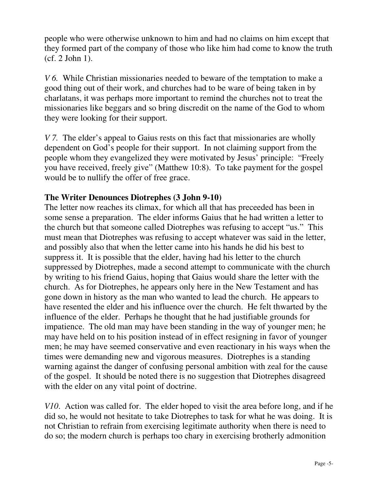people who were otherwise unknown to him and had no claims on him except that they formed part of the company of those who like him had come to know the truth (cf. 2 John 1).

*V 6.* While Christian missionaries needed to beware of the temptation to make a good thing out of their work, and churches had to be ware of being taken in by charlatans, it was perhaps more important to remind the churches not to treat the missionaries like beggars and so bring discredit on the name of the God to whom they were looking for their support.

*V 7.* The elder's appeal to Gaius rests on this fact that missionaries are wholly dependent on God's people for their support. In not claiming support from the people whom they evangelized they were motivated by Jesus' principle: "Freely you have received, freely give" (Matthew 10:8). To take payment for the gospel would be to nullify the offer of free grace.

## **The Writer Denounces Diotrephes (3 John 9-10)**

The letter now reaches its climax, for which all that has preceeded has been in some sense a preparation. The elder informs Gaius that he had written a letter to the church but that someone called Diotrephes was refusing to accept "us." This must mean that Diotrephes was refusing to accept whatever was said in the letter, and possibly also that when the letter came into his hands he did his best to suppress it. It is possible that the elder, having had his letter to the church suppressed by Diotrephes, made a second attempt to communicate with the church by writing to his friend Gaius, hoping that Gaius would share the letter with the church. As for Diotrephes, he appears only here in the New Testament and has gone down in history as the man who wanted to lead the church. He appears to have resented the elder and his influence over the church. He felt thwarted by the influence of the elder. Perhaps he thought that he had justifiable grounds for impatience. The old man may have been standing in the way of younger men; he may have held on to his position instead of in effect resigning in favor of younger men; he may have seemed conservative and even reactionary in his ways when the times were demanding new and vigorous measures. Diotrephes is a standing warning against the danger of confusing personal ambition with zeal for the cause of the gospel. It should be noted there is no suggestion that Diotrephes disagreed with the elder on any vital point of doctrine.

*V10*. Action was called for. The elder hoped to visit the area before long, and if he did so, he would not hesitate to take Diotrephes to task for what he was doing. It is not Christian to refrain from exercising legitimate authority when there is need to do so; the modern church is perhaps too chary in exercising brotherly admonition